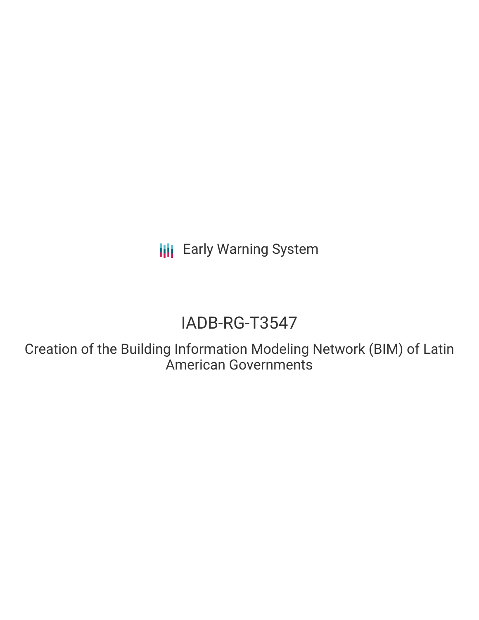**III** Early Warning System

# IADB-RG-T3547

Creation of the Building Information Modeling Network (BIM) of Latin American Governments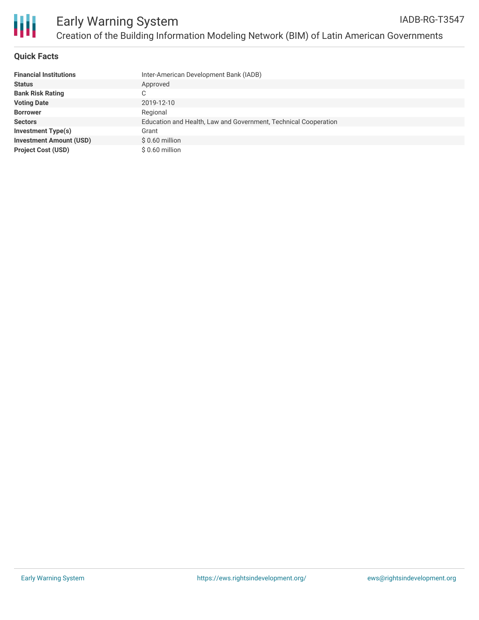

#### **Quick Facts**

| <b>Financial Institutions</b>  | Inter-American Development Bank (IADB)                          |
|--------------------------------|-----------------------------------------------------------------|
| <b>Status</b>                  | Approved                                                        |
| <b>Bank Risk Rating</b>        |                                                                 |
| <b>Voting Date</b>             | 2019-12-10                                                      |
| <b>Borrower</b>                | Regional                                                        |
| <b>Sectors</b>                 | Education and Health, Law and Government, Technical Cooperation |
| Investment Type(s)             | Grant                                                           |
| <b>Investment Amount (USD)</b> | $$0.60$ million                                                 |
| <b>Project Cost (USD)</b>      | $$0.60$ million                                                 |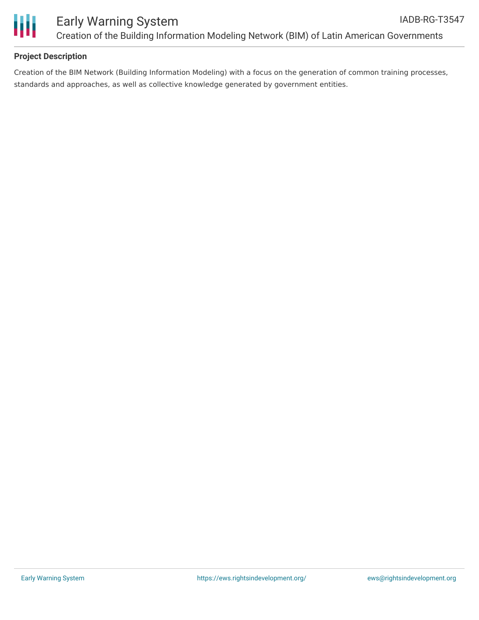

## **Project Description**

Creation of the BIM Network (Building Information Modeling) with a focus on the generation of common training processes, standards and approaches, as well as collective knowledge generated by government entities.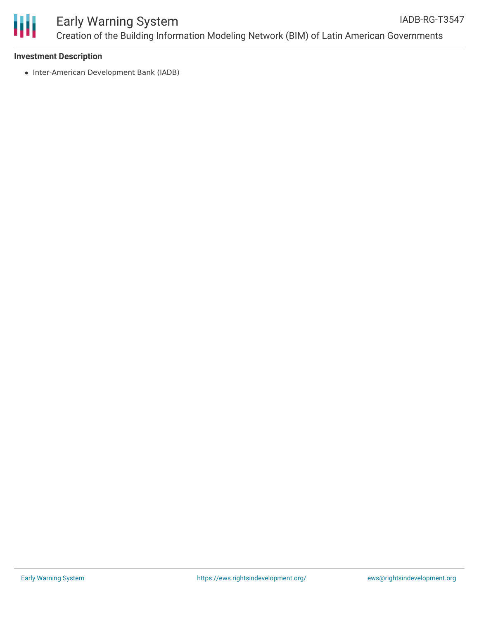

#### **Investment Description**

• Inter-American Development Bank (IADB)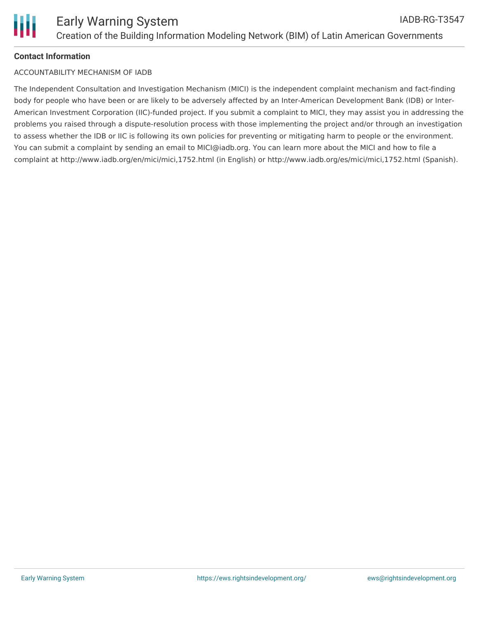

### **Contact Information**

#### ACCOUNTABILITY MECHANISM OF IADB

The Independent Consultation and Investigation Mechanism (MICI) is the independent complaint mechanism and fact-finding body for people who have been or are likely to be adversely affected by an Inter-American Development Bank (IDB) or Inter-American Investment Corporation (IIC)-funded project. If you submit a complaint to MICI, they may assist you in addressing the problems you raised through a dispute-resolution process with those implementing the project and/or through an investigation to assess whether the IDB or IIC is following its own policies for preventing or mitigating harm to people or the environment. You can submit a complaint by sending an email to MICI@iadb.org. You can learn more about the MICI and how to file a complaint at http://www.iadb.org/en/mici/mici,1752.html (in English) or http://www.iadb.org/es/mici/mici,1752.html (Spanish).